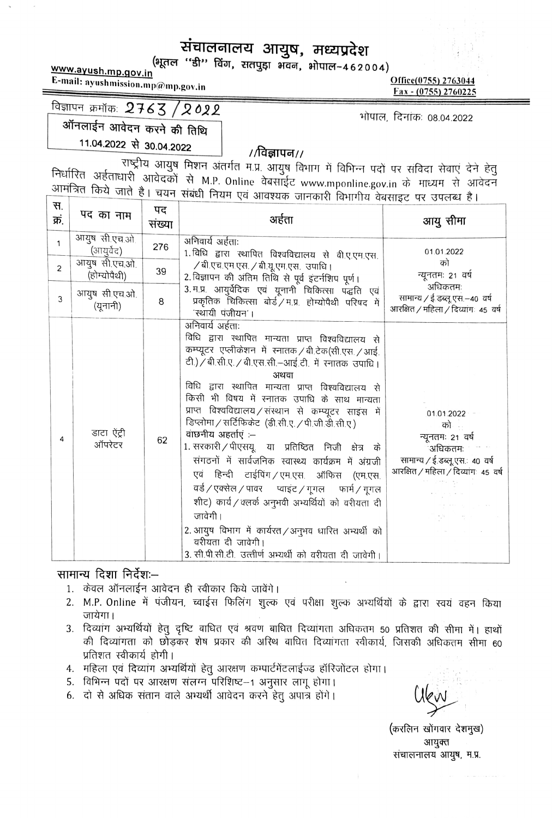## संचालनालय आयुष, मध्यप्रदेश

(भूतल "डी" विंग, सतपुड़ा भवन, भोपाल-462004) www.ayush.mp.gov.in

E-mail: ayushmission.mp@mp.gov.in

Office(0755) 2763044 Fax - (0755) 2760225

## विज्ञापन क्रमॉक:  $2763 / 2022$

भोपाल, दिनांक: 08.04.2022

ऑनलाईन आवेदन करने की तिथि

11.04.2022 से 30.04.2022

#### //विज्ञापन//

राष्ट्रीय आयुष मिशन अंतर्गत म.प्र. आयुष विभाग में विभिन्न पदों पर संविदा सेवाएं देने हेतु निर्धारित अर्हताधारी आवेदकों से M.P. Online वेबसाईट www.mponline.gov.in के माध्यम से आवेदन आमंत्रित किये जाते है। चयन संबंधी नियम एवं आवश्यक जानकारी विभागीय वेबसाइट पर उपलब्ध है।

| स.<br>क्रं. | पद का नाम                     | पद<br>संख्या | अर्हता                                                                                                                                                                                                                                                                                                                                                                                                                                                                                                                                                                                                                                                                                                                                                                                                                                                                      | आयु सीमा                                                                                                                 |
|-------------|-------------------------------|--------------|-----------------------------------------------------------------------------------------------------------------------------------------------------------------------------------------------------------------------------------------------------------------------------------------------------------------------------------------------------------------------------------------------------------------------------------------------------------------------------------------------------------------------------------------------------------------------------------------------------------------------------------------------------------------------------------------------------------------------------------------------------------------------------------------------------------------------------------------------------------------------------|--------------------------------------------------------------------------------------------------------------------------|
| 1           | आयुष सी.एच.ओ.<br>(आयुर्वेद)   | 276          | अनिवार्य अर्हताः<br>1. विधि द्वारा स्थापित विश्वविद्यालय से वी.ए.एम.एस.                                                                                                                                                                                                                                                                                                                                                                                                                                                                                                                                                                                                                                                                                                                                                                                                     | 01.01.2022                                                                                                               |
| 2           | आयुष सी.एच.ओ.<br>(होम्योपैथी) | 39           | / बी.एच.एम.एस. / बी.यू.एम.एस. उपाधि।<br>2. विज्ञापन की अंतिम तिथि से पूर्व इंटर्नशिप पूर्ण।                                                                                                                                                                                                                                                                                                                                                                                                                                                                                                                                                                                                                                                                                                                                                                                 | को<br>न्यूनतमः 21 वर्षे                                                                                                  |
| 3           | आयुष सी.एच.ओ.<br>(यूनानी)     | 8            | 3.म.प्र आयुर्वेदिक एवं यूनानी चिकित्सा पद्धति एवं<br>प्रकृतिक चिकित्सा बोर्ड / म.प्र. होम्योपैथी परिषद में<br>'स्थायी पंजीयन'।                                                                                                                                                                                                                                                                                                                                                                                                                                                                                                                                                                                                                                                                                                                                              | अधिकतमः<br>सामान्य / ई.डब्लू एस.–४० वर्ष<br>आरक्षित / महिला / दिव्यांगः 45 वर्ष                                          |
| 4           | डाटा ऐंट्री<br>ऑपरेटर         | 62           | अनिवार्य अर्हताः<br>विधि द्वारा स्थापित मान्यता प्राप्त विश्वविद्यालय से<br>कम्प्यूटर एप्लीकेशन में स्नातक / बी.टेक(सी.एस. / आई.<br>टी.) / बी.सी.ए. / बी.एस.सी.-आई.टी. में रनातक उपाधि।<br>अथवा<br>विधि द्वारा स्थापित मान्यता प्राप्त विश्वविद्यालय से<br>किसी भी विषय में स्नातक उपाधि के साथ मान्यता<br>प्राप्त विश्वविद्यालय/संस्थान से कम्प्यूटर साइस में<br>डिप्लोमा / सर्टिफिकेट (डी.सी.ए. / पी.जी.डी.सी.ए.)<br>वाछनीय अहर्ताएं :--<br>1. सरकारी / पीएसयू. या प्रतिष्ठित निजी क्षेत्र के<br>संगठनों में सार्वजनिक स्वास्थ्य कार्यक्रम में अंग्रजी<br>एवं हिन्दी टाईपिंग / एम.एस. ऑफिस (एम.एस.<br>वर्ड / एक्सेल / पावर      प्वाइंट / गूगल      फार्म / गूगल<br>शीट) कार्य/क्लर्क अनुभवी अभ्यर्थियों को वरीयता दी<br>जावेगी ।<br>2. आयुष विभाग में कार्यरत / अनुभव धारित अभ्यर्थी को<br>वरीयता दी जावेगी।<br>3. सी.पी.सी.टी. उत्त्तीर्ण अभ्यर्थी को वरीयता दी जावेगी। | 01.01.2022<br>को<br>न्यूनतमः २१ वर्ष<br>ंअधिकतमः<br>सामान्य / ई.डब्लू एस. 40 वर्ष<br>आरक्षित / महिला / दिव्यांगः 45 वर्ष |

#### सामान्य दिशा निर्देश:--

- 1. केवल ऑनलाईन आवेदन ही स्वीकार किये जावेंगे।
- 2. M.P. Online में पंजीयन, च्वाईस फिलिंग शुल्क एवं परीक्षा शुल्क अभ्यर्थियों के द्वारा स्वयं वहन किया जायेगा।
- 3. दिव्यांग अभ्यर्थियों हेतु दृष्टि बाधित एवं श्रवण बाधित दिव्यांगता अधिकतम 50 प्रतिशत की सीमा में। हाथों की दिव्यांगता को छोड़कर शेष प्रकार की अरिथ बाधित दिव्यांगता रवीकार्य, जिसकी अधिकतम सीमा 60 प्रतिशत स्वीकार्य होगी।
- 4. महिला एवं दिव्यांग अभ्यर्थियों हेतु आरक्षण कम्पार्टमेंटलाईज्ड हॉरिजोंटल होगा।
- 5. विभिन्न पदों पर आरक्षण संलग्न परिशिष्ट-1 अनुसार लागू होगा।
- 6. दो से अधिक संतान वाले अभ्यर्थी आवेदन करने हेतु अपात्र होंगे।

(करलिन खोंगवार देशमुख) आयक्त संचालनालय आयुष, म.प्र.